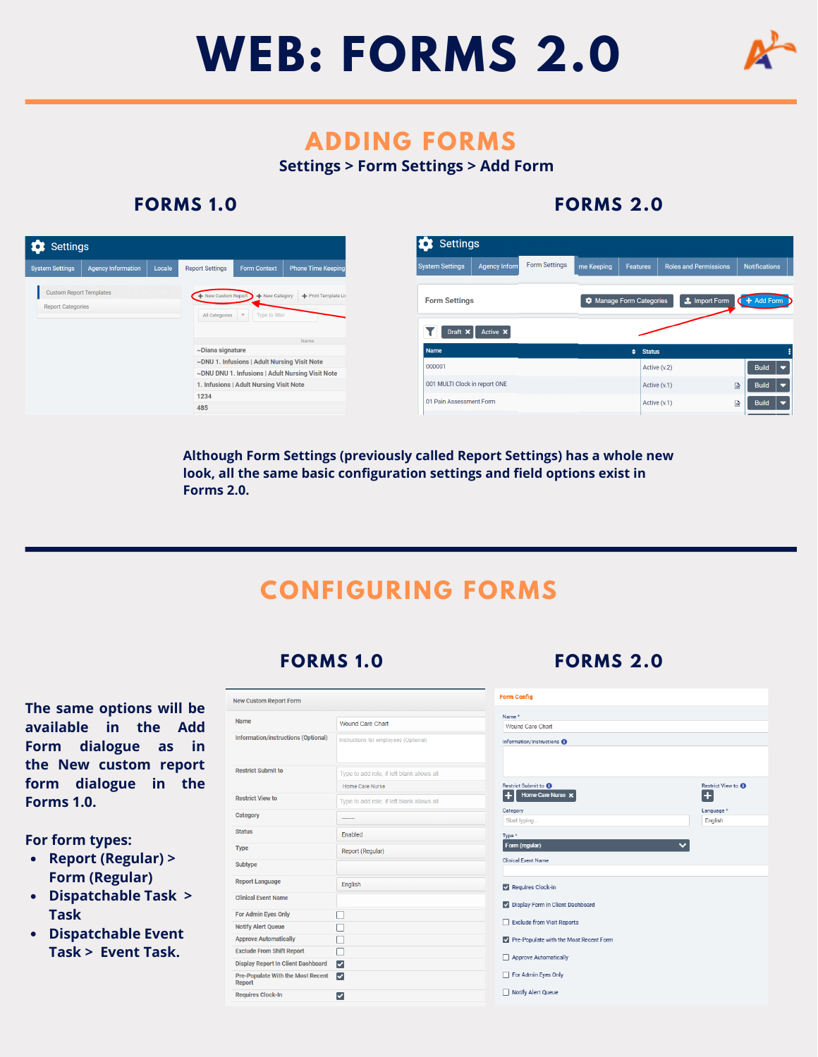



## **ADDING FORMS**

**Settings > Form Settings > Add Form**

#### **FORMS 1 .0**

## **FORMS 2.0**

| <b>C</b> Settings                                                                                                             |                           |                                          |                                              |                                                  |
|-------------------------------------------------------------------------------------------------------------------------------|---------------------------|------------------------------------------|----------------------------------------------|--------------------------------------------------|
| <b>System Settings</b>                                                                                                        | <b>Agency Information</b> | Locale<br><b>Report Settings</b>         | Form Context                                 | <b>Phone Time Keeping</b>                        |
| <b>Custom Report Templates</b><br>+ New Custom Report + New Category + Print Template Lis<br><b>Report Categories</b><br>$\;$ |                           |                                          |                                              |                                                  |
|                                                                                                                               |                           | Type to filter<br>All Categories<br>Name |                                              |                                                  |
|                                                                                                                               | ~Diana signature          |                                          |                                              |                                                  |
|                                                                                                                               |                           |                                          | ~DNU 1. Infusions   Adult Nursing Visit Note |                                                  |
|                                                                                                                               |                           |                                          | 1. Infusions   Adult Nursing Visit Note      | ~DNU DNU 1. Infusions   Adult Nursing Visit Note |
|                                                                                                                               |                           | 1234                                     |                                              |                                                  |
|                                                                                                                               |                           | 485                                      |                                              |                                                  |

**Although Form Settings (previously called Report Settings) has a whole new look, all the same basic configuration settings and field options exist in Forms 2.0.** 

## **CONFIGURING FORMS**

## **FORMS 1 .0**

#### **The same options will be available in the Add Form dialogue as in the New custom report form dialogue in the Forms 1.0.**

**For form types:**

- **Report (Regular) > Form (Regular)**
- **Dispatchable Task > Task**
- **Dispatchable Event Task > Event Task.**

| <b>New Custom Report Form</b>                      |                                            |                          |  |  |  |  |
|----------------------------------------------------|--------------------------------------------|--------------------------|--|--|--|--|
| <b>Name</b>                                        |                                            | Name*                    |  |  |  |  |
|                                                    | <b>Wound Care Chart</b>                    | Wound Car                |  |  |  |  |
| Information/instructions (Optional)                | Instructions for employees (Optional)      | Information/In           |  |  |  |  |
| <b>Restrict Submit to</b>                          | Type to add role, if left blank allows all |                          |  |  |  |  |
|                                                    | Home Care Nurse                            | <b>Restrict Subm</b>     |  |  |  |  |
| <b>Restrict View to</b>                            | Type to add role, if left blank allows all | ٠<br>Hom                 |  |  |  |  |
| Category                                           |                                            | Category<br>Start typing |  |  |  |  |
| <b>Status</b>                                      | <b>Fnabled</b>                             | Type *                   |  |  |  |  |
| <b>Type</b>                                        | Report (Regular)                           | Form (regul              |  |  |  |  |
| Subtype                                            |                                            | <b>Clinical Event</b>    |  |  |  |  |
| <b>Report Language</b>                             | <b>English</b>                             | $\vee$ Requires          |  |  |  |  |
| <b>Clinical Event Name</b>                         |                                            | V Display F              |  |  |  |  |
| <b>For Admin Eyes Only</b>                         |                                            |                          |  |  |  |  |
| <b>Notify Alert Queue</b>                          |                                            | Exclude f                |  |  |  |  |
| <b>Approve Automatically</b>                       |                                            | Pre-Popu                 |  |  |  |  |
| <b>Exclude From Shift Report</b>                   | ×                                          | Approve                  |  |  |  |  |
| <b>Display Report In Client Dashboard</b>          | ☑                                          |                          |  |  |  |  |
| <b>Pre-Populate With the Most Recent</b><br>Report | ∣✓∣                                        | For Admi                 |  |  |  |  |
| <b>Requires Clock-In</b>                           | ☑                                          | Notify Al                |  |  |  |  |



#### **FORMS 2.0**

.....<br>Vound Care Chart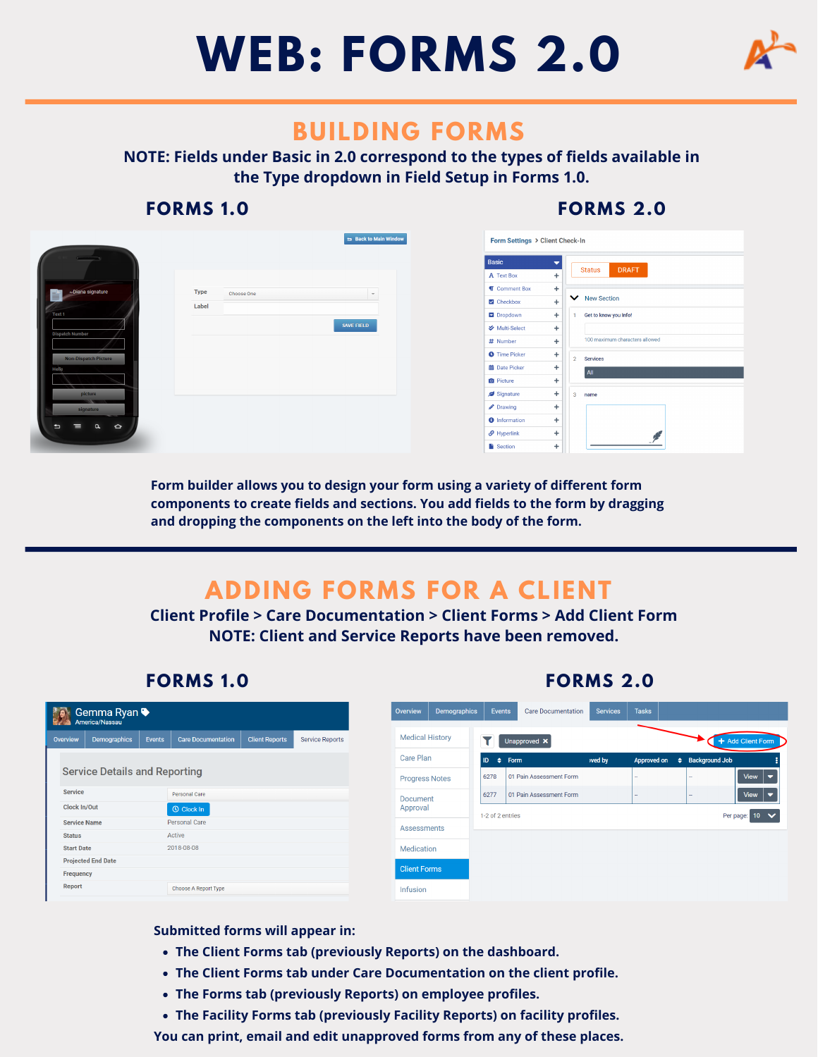



## **BUILDING FORMS**

**NOTE: Fields under Basic in 2.0 correspond to the types of fields available in the Type dropdown in Field Setup in Forms 1.0.**

## **FORMS 1 .0**

**FORMS 1 .0**

## **FORMS 2.0**

**FORMS 2.0**



**Form builder allows you to design your form using a variety of different form components to create fields and sections. You add fields to the form by dragging and dropping the components on the left into the body of the form.**

# **ADDING FORMS FOR A CLIENT**

**Client Profile > Care Documentation > Client Forms > Add Client Form NOTE: Client and Service Reports have been removed.**

| I VINIVIV IIV                                       |              |               |                           |                       |                                  |                     |                         |                           |                 |              |            |  |                   |
|-----------------------------------------------------|--------------|---------------|---------------------------|-----------------------|----------------------------------|---------------------|-------------------------|---------------------------|-----------------|--------------|------------|--|-------------------|
| Gemma Ryan ♦<br>$\left( 5\right)$<br>America/Nassau |              |               |                           |                       | Overview                         | Demographics        | Events                  | <b>Care Documentation</b> | <b>Services</b> | <b>Tasks</b> |            |  |                   |
| Overview                                            | Demographics | Events        | <b>Care Documentation</b> | <b>Client Reports</b> | <b>Service Reports</b>           |                     | <b>Medical History</b>  |                           | Unapproved X    |              |            |  | + Add Client Form |
|                                                     |              |               |                           |                       |                                  | Care Plan           |                         | $ID \Leftrightarrow Form$ | wed by          |              |            |  |                   |
| <b>Service Details and Reporting</b>                |              |               |                           |                       | <b>Progress Notes</b>            |                     | 01 Pain Assessment Form |                           |                 |              | View<br>╹╾ |  |                   |
| <b>Service</b>                                      |              | Personal Care |                           |                       | <b>Document</b>                  |                     | 01 Pain Assessment Form |                           |                 |              | View<br>╹╾ |  |                   |
| Clock In/Out<br><b>O</b> Clock In                   |              |               | Approval                  |                       | Per page: 10<br>1-2 of 2 entries |                     |                         |                           |                 |              |            |  |                   |
| <b>Service Name</b>                                 |              |               | Personal Care             |                       |                                  |                     | <b>Assessments</b>      |                           |                 |              |            |  |                   |
| <b>Status</b>                                       |              |               | Active                    |                       |                                  |                     |                         |                           |                 |              |            |  |                   |
| <b>Start Date</b>                                   |              |               | 2018-08-08                |                       |                                  | Medication          |                         |                           |                 |              |            |  |                   |
| <b>Projected End Date</b>                           |              |               |                           |                       |                                  | <b>Client Forms</b> |                         |                           |                 |              |            |  |                   |
| Frequency                                           |              |               |                           |                       |                                  |                     |                         |                           |                 |              |            |  |                   |
| Report                                              |              |               | Choose A Report Type      |                       |                                  |                     | Infusion                |                           |                 |              |            |  |                   |
|                                                     |              |               |                           |                       |                                  |                     |                         |                           |                 |              |            |  |                   |

#### **Submitted forms will appear in:**

- **The Client Forms tab (previously Reports) on the dashboard.**
- **The Client Forms tab under Care Documentation on the client profile.**
- **The Forms tab (previously Reports) on employee profiles.**
- **The Facility Forms tab (previously Facility Reports) on facility profiles.**

**You can print, email and edit unapproved forms from any of these places.**